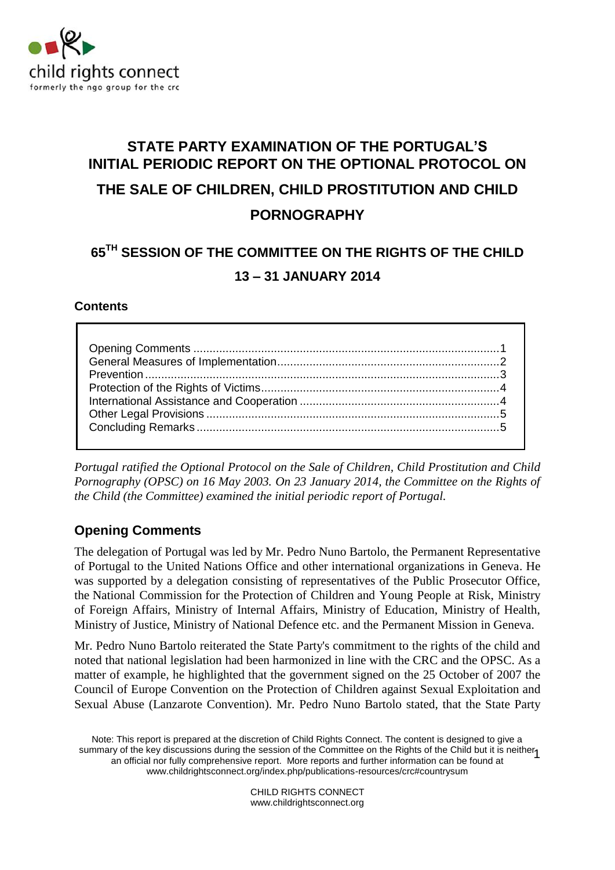

# **STATE PARTY EXAMINATION OF THE PORTUGAL'S INITIAL PERIODIC REPORT ON THE OPTIONAL PROTOCOL ON THE SALE OF CHILDREN, CHILD PROSTITUTION AND CHILD PORNOGRAPHY**

## **65TH SESSION OF THE COMMITTEE ON THE RIGHTS OF THE CHILD 13 – 31 JANUARY 2014**

#### **Contents**

*Portugal ratified the Optional Protocol on the Sale of Children, Child Prostitution and Child Pornography (OPSC) on 16 May 2003. On 23 January 2014, the Committee on the Rights of the Child (the Committee) examined the initial periodic report of Portugal.*

## <span id="page-0-0"></span>**Opening Comments**

The delegation of Portugal was led by Mr. Pedro Nuno Bartolo, the Permanent Representative of Portugal to the United Nations Office and other international organizations in Geneva. He was supported by a delegation consisting of representatives of the Public Prosecutor Office, the National Commission for the Protection of Children and Young People at Risk, Ministry of Foreign Affairs, Ministry of Internal Affairs, Ministry of Education, Ministry of Health, Ministry of Justice, Ministry of National Defence etc. and the Permanent Mission in Geneva.

Mr. Pedro Nuno Bartolo reiterated the State Party's commitment to the rights of the child and noted that national legislation had been harmonized in line with the CRC and the OPSC. As a matter of example, he highlighted that the government signed on the 25 October of 2007 the Council of Europe Convention on the Protection of Children against Sexual Exploitation and Sexual Abuse (Lanzarote Convention). Mr. Pedro Nuno Bartolo stated, that the State Party

Note: This report is prepared at the discretion of Child Rights Connect. The content is designed to give a summary of the key discussions during the session of the Committee on the Rights of the Child but it is neither 1<br>an official partially comprehensive report. More reports and further information can be found at an official nor fully comprehensive report. More reports and further information can be found at [www.childrightsconnect.org/index.php/publications-resources/crc#countrysum](http://www.childrightsconnect.org/index.php/publications-resources/crc#countrysum)

> CHILD RIGHTS CONNECT www.childrightsconnect.org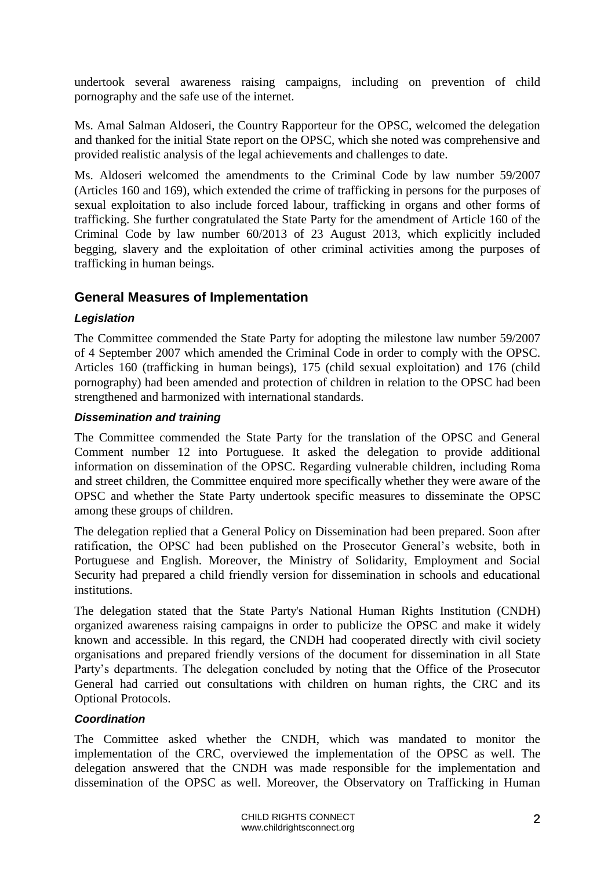undertook several awareness raising campaigns, including on prevention of child pornography and the safe use of the internet.

Ms. Amal Salman Aldoseri, the Country Rapporteur for the OPSC, welcomed the delegation and thanked for the initial State report on the OPSC, which she noted was comprehensive and provided realistic analysis of the legal achievements and challenges to date.

Ms. Aldoseri welcomed the amendments to the Criminal Code by law number 59/2007 (Articles 160 and 169), which extended the crime of trafficking in persons for the purposes of sexual exploitation to also include forced labour, trafficking in organs and other forms of trafficking. She further congratulated the State Party for the amendment of Article 160 of the Criminal Code by law number 60/2013 of 23 August 2013, which explicitly included begging, slavery and the exploitation of other criminal activities among the purposes of trafficking in human beings.

### <span id="page-1-0"></span>**General Measures of Implementation**

#### *Legislation*

The Committee commended the State Party for adopting the milestone law number 59/2007 of 4 September 2007 which amended the Criminal Code in order to comply with the OPSC. Articles 160 (trafficking in human beings), 175 (child sexual exploitation) and 176 (child pornography) had been amended and protection of children in relation to the OPSC had been strengthened and harmonized with international standards.

#### *Dissemination and training*

The Committee commended the State Party for the translation of the OPSC and General Comment number 12 into Portuguese. It asked the delegation to provide additional information on dissemination of the OPSC. Regarding vulnerable children, including Roma and street children, the Committee enquired more specifically whether they were aware of the OPSC and whether the State Party undertook specific measures to disseminate the OPSC among these groups of children.

The delegation replied that a General Policy on Dissemination had been prepared. Soon after ratification, the OPSC had been published on the Prosecutor General's website, both in Portuguese and English. Moreover, the Ministry of Solidarity, Employment and Social Security had prepared a child friendly version for dissemination in schools and educational institutions.

The delegation stated that the State Party's National Human Rights Institution (CNDH) organized awareness raising campaigns in order to publicize the OPSC and make it widely known and accessible. In this regard, the CNDH had cooperated directly with civil society organisations and prepared friendly versions of the document for dissemination in all State Party's departments. The delegation concluded by noting that the Office of the Prosecutor General had carried out consultations with children on human rights, the CRC and its Optional Protocols.

#### *Coordination*

The Committee asked whether the CNDH, which was mandated to monitor the implementation of the CRC, overviewed the implementation of the OPSC as well. The delegation answered that the CNDH was made responsible for the implementation and dissemination of the OPSC as well. Moreover, the Observatory on Trafficking in Human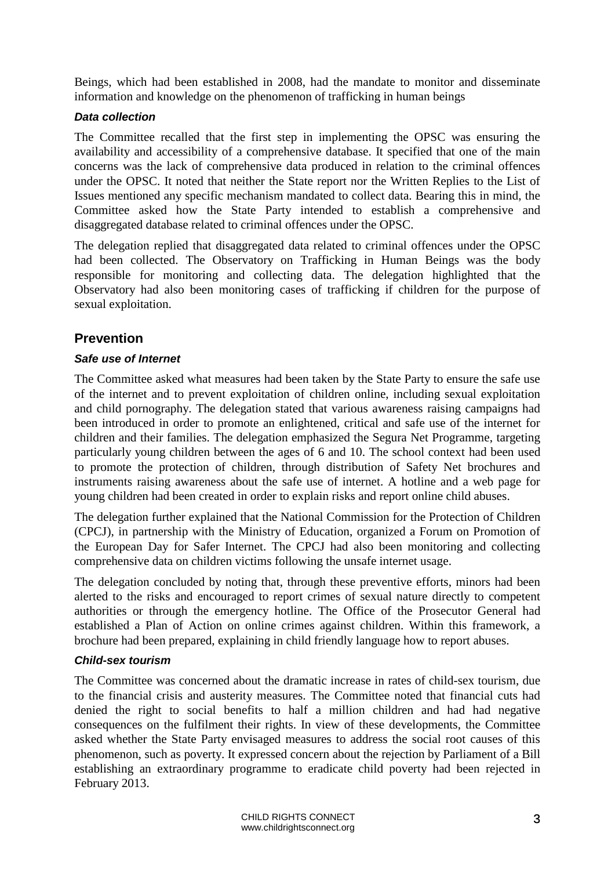Beings, which had been established in 2008, had the mandate to monitor and disseminate information and knowledge on the phenomenon of trafficking in human beings

#### *Data collection*

The Committee recalled that the first step in implementing the OPSC was ensuring the availability and accessibility of a comprehensive database. It specified that one of the main concerns was the lack of comprehensive data produced in relation to the criminal offences under the OPSC. It noted that neither the State report nor the Written Replies to the List of Issues mentioned any specific mechanism mandated to collect data. Bearing this in mind, the Committee asked how the State Party intended to establish a comprehensive and disaggregated database related to criminal offences under the OPSC.

The delegation replied that disaggregated data related to criminal offences under the OPSC had been collected. The Observatory on Trafficking in Human Beings was the body responsible for monitoring and collecting data. The delegation highlighted that the Observatory had also been monitoring cases of trafficking if children for the purpose of sexual exploitation.

## <span id="page-2-0"></span>**Prevention**

#### *Safe use of Internet*

The Committee asked what measures had been taken by the State Party to ensure the safe use of the internet and to prevent exploitation of children online, including sexual exploitation and child pornography. The delegation stated that various awareness raising campaigns had been introduced in order to promote an enlightened, critical and safe use of the internet for children and their families. The delegation emphasized the Segura Net Programme, targeting particularly young children between the ages of 6 and 10. The school context had been used to promote the protection of children, through distribution of Safety Net brochures and instruments raising awareness about the safe use of internet. A hotline and a web page for young children had been created in order to explain risks and report online child abuses.

The delegation further explained that the National Commission for the Protection of Children (CPCJ), in partnership with the Ministry of Education, organized a Forum on Promotion of the European Day for Safer Internet. The CPCJ had also been monitoring and collecting comprehensive data on children victims following the unsafe internet usage.

The delegation concluded by noting that, through these preventive efforts, minors had been alerted to the risks and encouraged to report crimes of sexual nature directly to competent authorities or through the emergency hotline. The Office of the Prosecutor General had established a Plan of Action on online crimes against children. Within this framework, a brochure had been prepared, explaining in child friendly language how to report abuses.

#### *Child-sex tourism*

The Committee was concerned about the dramatic increase in rates of child-sex tourism, due to the financial crisis and austerity measures. The Committee noted that financial cuts had denied the right to social benefits to half a million children and had had negative consequences on the fulfilment their rights. In view of these developments, the Committee asked whether the State Party envisaged measures to address the social root causes of this phenomenon, such as poverty. It expressed concern about the rejection by Parliament of a Bill establishing an extraordinary programme to eradicate child poverty had been rejected in February 2013.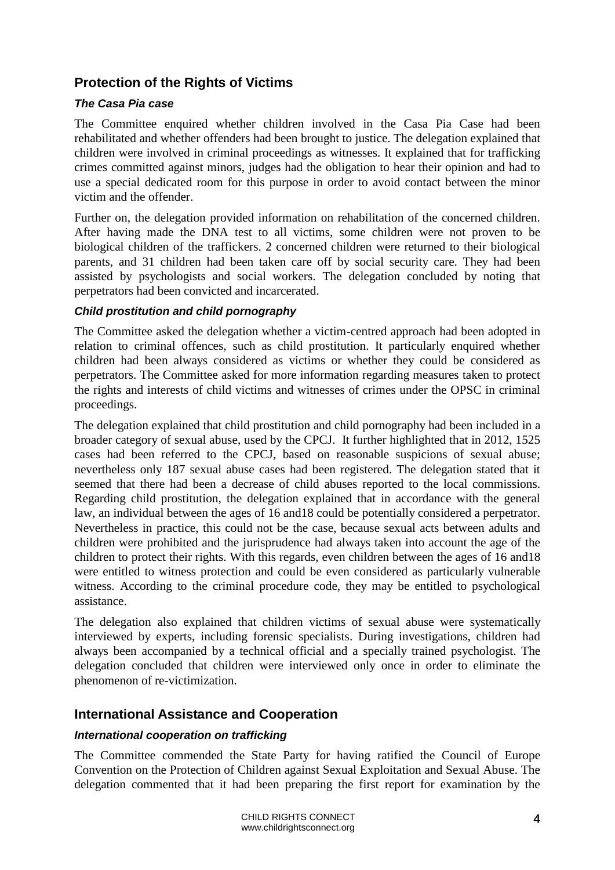## <span id="page-3-0"></span>**Protection of the Rights of Victims**

#### *The Casa Pia case*

The Committee enquired whether children involved in the Casa Pia Case had been rehabilitated and whether offenders had been brought to justice. The delegation explained that children were involved in criminal proceedings as witnesses. It explained that for trafficking crimes committed against minors, judges had the obligation to hear their opinion and had to use a special dedicated room for this purpose in order to avoid contact between the minor victim and the offender.

Further on, the delegation provided information on rehabilitation of the concerned children. After having made the DNA test to all victims, some children were not proven to be biological children of the traffickers. 2 concerned children were returned to their biological parents, and 31 children had been taken care off by social security care. They had been assisted by psychologists and social workers. The delegation concluded by noting that perpetrators had been convicted and incarcerated.

#### *Child prostitution and child pornography*

The Committee asked the delegation whether a victim-centred approach had been adopted in relation to criminal offences, such as child prostitution. It particularly enquired whether children had been always considered as victims or whether they could be considered as perpetrators. The Committee asked for more information regarding measures taken to protect the rights and interests of child victims and witnesses of crimes under the OPSC in criminal proceedings.

The delegation explained that child prostitution and child pornography had been included in a broader category of sexual abuse, used by the CPCJ. It further highlighted that in 2012, 1525 cases had been referred to the CPCJ, based on reasonable suspicions of sexual abuse; nevertheless only 187 sexual abuse cases had been registered. The delegation stated that it seemed that there had been a decrease of child abuses reported to the local commissions. Regarding child prostitution, the delegation explained that in accordance with the general law, an individual between the ages of 16 and18 could be potentially considered a perpetrator. Nevertheless in practice, this could not be the case, because sexual acts between adults and children were prohibited and the jurisprudence had always taken into account the age of the children to protect their rights. With this regards, even children between the ages of 16 and18 were entitled to witness protection and could be even considered as particularly vulnerable witness. According to the criminal procedure code, they may be entitled to psychological assistance.

The delegation also explained that children victims of sexual abuse were systematically interviewed by experts, including forensic specialists. During investigations, children had always been accompanied by a technical official and a specially trained psychologist. The delegation concluded that children were interviewed only once in order to eliminate the phenomenon of re-victimization.

#### <span id="page-3-1"></span>**International Assistance and Cooperation**

#### *International cooperation on trafficking*

The Committee commended the State Party for having ratified the Council of Europe Convention on the Protection of Children against Sexual Exploitation and Sexual Abuse. The delegation commented that it had been preparing the first report for examination by the